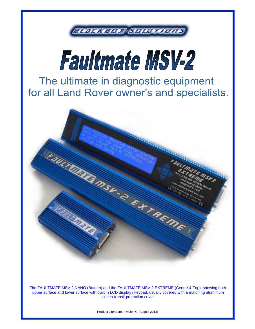



The ultimate in diagnostic equipment for all Land Rover owner's and specialists.



The FAULTMATE MSV-2 NANO (Bottom) and the FAULTMATE MSV-2 EXTREME (Centre & Top), showing both upper surface and lower surface with built in LCD display / keypad, usually covered with a matching aluminium slide in-transit protection cover.

Product Literature, revision G (August 2013)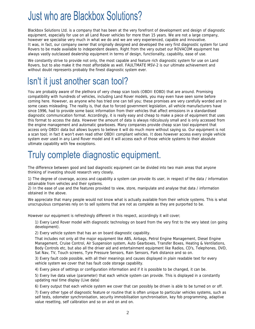# **Just who are Blackbox Solutions?**

Blackbox Solutions Ltd. is a company that has been at the very forefront of development and design of diagnostic equipment, especially for use on all Land Rover vehicles for more than 15 years. We are not a large company, however we specialise very much in what we do and we are very experienced, capable and innovative. It was, in fact, our company owner that originally designed and developed the very first diagnostic system for Land Rovers to be made available to independent dealers. Right from the very outset our ROVACOM equipment has always vastly outclassed dealership equipment in terms of design, functionality, capability, ease of use.

We constantly strive to provide not only, the most capable and feature rich diagnostic system for use on Land Rovers, but to also make it the most affordable as well. FAULTMATE MSV-2 is our ultimate achievement and without doubt represents probably the finest diagnostic system ever.

## Isn't it just another scan tool?

You are probably aware of the plethora of very cheap scan tools (OBDII EOBD) that are around. Promising compatibility with hundreds of vehicles, including Land Rover models, you may even have seen some before coming here. However, as anyone who has tried one can tell you; these promises are very carefully worded and in some cases misleading. The reality is, that due to forced government legislation, all vehicle manufacturers have since 1996, had to provide some basic information from their vehicles that affect emissions in a standardised diagnostic communication format. Accordingly, it is really easy and cheap to make a piece of equipment that uses this format to access the data. However the amount of data is always ridiculously small and is only accessed from the engine management and automatic gearboxes. Many companies provide cheap scan tool equipment that access only OBDII data but allows buyers to believe it will do much more without saying so. Our equipment is not a scan tool; in fact it won't even read other OBDII compliant vehicles. It does however access every single vehicle system ever used in any Land Rover model and it will access each of those vehicle systems to their absolute ultimate capability with few exceptions.

#### Truly complete diagnostic equipment.

The difference between good and bad diagnostic equipment can be divided into two main areas that anyone thinking of investing should research very closely.

1) The degree of coverage, access and capability a system can provide its user, in respect of the data / information obtainable from vehicles and their systems.

2) In the ease of use and the features provided to view, store, manipulate and analyse that data / information obtained in the above.

We appreciate that many people would not know what is actually available from their vehicle systems. This is what unscrupulous companies rely on to sell systems that are not as complete as they are purported to be.

However our equipment is refreshingly different in this respect, accordingly it will cover;

1) Every Land Rover model with diagnostic technology on board from the very first to the very latest (on going development).

2) Every vehicle system that has an on board diagnostic capability.

That includes not only all the major equipment like ABS, Airbags, Petrol Engine Management, Diesel Engine Management, Cruise Control, Air Suspension system, Auto Gearboxes, Transfer Boxes, Heating & Ventilations, Body Controls etc, but also all the driver aid and entertainment equipment like Radios, CD's, Telephones, DVD, Sat Nav, TV, Touch screens, Tyre Pressure Sensors, Rain Sensors, Park distance and so on.

3) Every fault code possible, with all their meanings and causes displayed in plain readable text for every vehicle system we cover that has fault code storage capability.

4) Every piece of settings or configuration information and if it is possible to be changed, it can be.

5) Every live data value (parameter) that each vehicle system can provide. This is displayed in a constantly updating real time display (Live data)

6) Every output that each vehicle system we cover that can possibly be driven is able to be turned on or off.

7) Every other type of diagnostic feature or routine that is often unique to particular vehicles systems, such as self tests, odometer synchronisation, security immobilisation synchronisation, key fob programming, adaptive value resetting, self calibration and so on and on and on.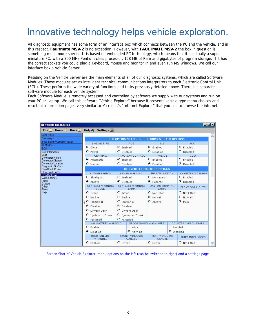## Innovative technology helps vehicle exploration.

All diagnostic equipment has some form of an interface box which connects between the PC and the vehicle, and in this respect, **Faultmate MSV-2** is no exception. However, with **FAULTMATE MSV-2** the box in question is something much more special. It is based on embedded PC technology, which means that it is actually a super miniature PC; with a 300 MHz Pentium class processor, 128 MB of Ram and gigabytes of program storage. If it had the correct sockets you could plug a Keyboard, mouse and monitor in and even run MS Windows. We call our interface box a Vehicle Server.

Residing on the Vehicle Server are the main elements of all of our diagnostic systems, which are called Software Modules. These modules act as intelligent technical communications interpreters to each Electronic Control Unit (ECU). These perform the wide variety of functions and tasks previously detailed above. There is a separate software module for each vehicle system.

Each Software Module is remotely accessed and controlled by software we supply with our systems and run on your PC or Laptop. We call this software "Vehicle Explorer" because it presents vehicle type menu choices and resultant information pages very similar to Microsoft's "Internet Explorer" that you use to browse the internet.

| Wehicle Diagnostics                                  |                                                      |                                 |                                 | $ \Box$ $\times$            |   |
|------------------------------------------------------|------------------------------------------------------|---------------------------------|---------------------------------|-----------------------------|---|
| File Home Back 日 Help & Settings 聪                   |                                                      |                                 |                                 |                             |   |
| Land Rover                                           |                                                      |                                 |                                 |                             |   |
| Discovery II<br><b>Body Electric Control Modules</b> | <b>BCU OPTION SETTINGS - INSTRUMENT PACK OPTIONS</b> |                                 |                                 |                             |   |
| All Models                                           | <b>ENGINE TYPE</b>                                   | ACE                             | <b>SLS</b>                      | <b>HDC</b>                  |   |
| <b>BCU</b>                                           | <b>C</b> Diesel                                      | $\epsilon$ Enabled              | $\epsilon$ Enabled              | $G$ Enabled                 |   |
| <b>Brief Information</b>                             | $C$ Petrol                                           | C Disabled                      | C Disabled                      | C Disabled                  |   |
| Lead<br><b>Connector Picture</b>                     | <b>GEARBOX</b>                                       | <b>TRACTION CONTROL</b>         | POLICE                          | <b>GULF</b>                 |   |
| Connector Diagram                                    | G Automatic                                          | $\epsilon$ Enabled              | $C$ Enabled                     | $C$ Enabled                 |   |
| <b>Connector Location</b>                            | C Manual                                             | C Disabled                      | <b>6</b> Disabled               | C Disabled                  |   |
| Diagnostic Pin-Outs<br><b>Read Fault Codes</b>       | <b>BCU VEHICLE MARKET SETTINGS</b>                   |                                 |                                 |                             |   |
| Clear Fault Codes<br><b>Read Settings</b>            | <b>AUTOGRAPHICS</b>                                  | <b>KEY IN WARNING</b>           | <b>INERTIA SWITCH</b>           | ODOMETER WARNING            |   |
| Write Settings                                       | C Sidelights                                         | $C$ Enabled                     | C No Hazards                    | $C$ Enabled                 |   |
| Inputs                                               | Always                                               | C Disabled                      | G Hazards                       | C Disabled                  |   |
| <b>Outputs</b><br>Other<br>Sleep                     | SEATBELT WARNING<br>SOUND                            | <b>SEATBELT WARNING</b><br>LAMP | <b>DAYTIME RUNNING</b><br>LAMPS | <b>FRONT FOG LIGHTS</b>     |   |
| Help                                                 | $C$ Timed                                            | $C$ Timed                       | C Not Fitted                    | C Not Fitted                |   |
|                                                      | C Buckle                                             | $C$ Buckle                      | <b>6</b> No Main                | C No Main                   |   |
|                                                      | $C$ Ignition II                                      | C Ignition II                   | C Always                        | G Main                      |   |
|                                                      | <b>6</b> Disabled                                    | <b>6</b> Disabled               |                                 |                             |   |
|                                                      | C Drivers Door                                       | C Drivers Door                  |                                 |                             |   |
|                                                      | C Ignition or Crank                                  | C Ignition or Crank             |                                 |                             |   |
|                                                      | C Fastened                                           | C Fastened                      |                                 |                             |   |
|                                                      | LOW BATTERY WARNING                                  |                                 | PROGRAMMED WASH WIPE            | <b>COURTESY HEAD LIGHTS</b> |   |
|                                                      | C Enabled                                            | $\Gamma$ Wipe                   | $C$ Enabled                     |                             |   |
|                                                      | <b>6</b> Disabled                                    | <b>6</b> No Wipe                | G                               | Disabled                    |   |
|                                                      | <b>BULB FAILURE</b><br><b>WARNING</b>                | FRONT WINDOWS<br>CANCEL         | <b>REAR WINDOWS</b><br>CANCEL   | SHIFT INTERLOCKS            |   |
|                                                      | $C$ Enabled                                          | C Driver                        | C Driver                        | C Not Fitted                | Ψ |

Screen Shot of Vehicle Explorer, menu options on the left (can be switched to right) and a settings page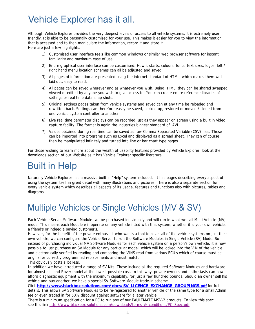# **Vehicle Explorer has it all.**

Although Vehicle Explorer provides the very deepest levels of access to all vehicle systems, it is extremely user friendly. It is able to be personally customised for your use. This makes it easier for you to view the information that is accessed and to then manipulate the information, record it and store it. Here are just a few highlights:

1) Customised user interface feels like common Windows or similar web browser software for instant familiarity and maximum ease of use.

- 2) Entire graphical user interface can be customised: How it starts, colours, fonts, text sizes, logos, left / right hand menu location schemes can all be adjusted and saved.
- 3) All pages of information are presented using the internet standard of HTML, which makes them well laid out, easy to read.
- 4) All pages can be saved wherever and as whatever you wish. Being HTML, they can be shared swapped viewed or edited by anyone you wish to give access to. You can create entire reference libraries of settings or real time data snap shots.
- 5) Original settings pages taken from vehicle systems and saved can at any time be reloaded and rewritten back. Settings can therefore easily be saved, backed up, restored or moved / cloned from one vehicle system controller to another.
- 6) Live real time parameter displays can be recorded just as they appear on screen using a built in video capture facility. The format is again the industries biggest standard of .AVI.
- 7) Values obtained during real time can be saved as raw Comma Separated Variable (CSV) files. These can be imported into programs such as Excel and displayed as a spread sheet. They can of course then be manipulated infinitely and turned into line or bar chart type pages.

For those wishing to learn more about the wealth of usability features provided by Vehicle Explorer, look at the downloads section of our Website as it has Vehicle Explorer specific literature.

#### **Built in Help**

Naturally Vehicle Explorer has a massive built in "Help" system included. It has pages describing every aspect of using the system itself in great detail with many illustrations and pictures. There is also a separate section for every vehicle system which describes all aspects of its usage, features and functions also with pictures, tables and diagrams.

## Multiple Vehicles or Single Vehicles (MV & SV)

Each Vehicle Server Software Module can be purchased individually and will run in what we call Multi Vehicle (MV) mode. This means each Module will operate on any vehicle fitted with that system, whether it is your own vehicle, a friend's or indeed a paying customer's.

However, for the benefit of the private enthusiast who wants a tool to cover all of the vehicle systems on just their own vehicle, we can configure the Vehicle Server to run the Software Modules in Single Vehicle (SV) Mode. So instead of purchasing individual MV Software Modules for each vehicle system on a person's own vehicle, it is now possible to just purchase an SV Module for any particular model, which will be locked into the VIN of the vehicle and electronically verified by reading and comparing the VINS read from various ECU's which of course must be original or correctly programmed replacements and must match.

This obviously costs a lot less.

In addition we have introduced a range of SV Kits. These include all the required Software Modules and hardware for almost all Land Rover model at the lowest possible cost. In this way, private owners and enthusiasts can now afford diagnostic equipment with the maximum capability, for just a few hundred pounds. Should an owner sell his vehicle and buy another, we have a special SV Software Module trade-in scheme.

Click **http://www.blackbox-solutions.com/docs/SV\_LICENCE\_EXCHANGE\_GROUPINGS.pdf** for full details. This allows SV Software Modules to be re-registered to another vehicle of the same type for a small Admin fee or even traded in for 50% discount against software for a later vehicle.

There is a minimum specification for a PC to run any of our FAULTMATE MSV-2 products. To view this spec, see this link http://www.blackbox-solutions.com/downloads/terms\_&\_conditions/PC\_Spec.pdf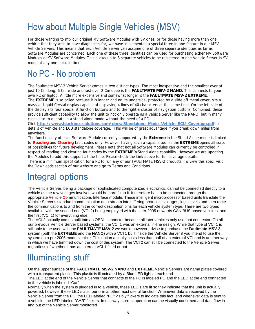# How about Multiple Single Vehicles (MSV)

For those wanting to mix our original MV Software Modules with SV ones, or for those having more than one vehicle that they wish to have diagnostics for, we have implemented a special three in one feature in our MSV Vehicle Servers. This means that each Vehicle Server can assume one of three separate identities as far as Software Modules are concerned. Each one of these three identities can be used for purchasing either MV Software Modules or SV Software Modules. This allows up to 3 separate vehicles to be registered to one Vehicle Server in SV mode at any one point in time.

## No PC - No problem

The Faultmate MSV-2 Vehicle Server comes in two distinct types. The most inexpensive and the smallest ever at just 10 Cm long, 6 Cm wide and just over 2 Cm deep is the **FAULTMATE MSV-2 NANO.** This connects to your own PC or laptop. A little more expensive and somewhat longer is the **FAULTMATE MSV-2 EXTREME**. The **EXTREME** is so called because it is longer and on its underside, protected by a slide off metal cover, sits a massive Liquid Crystal display capable of displaying 4 lines of 40 characters at the same time. On the left side of the display sits four specialist function buttons and to the right a cluster of navigation buttons. Combined, these provide sufficient capability to allow the unit to not only operate as a Vehicle Server like the NANO, but in many cases also to operate in a stand alone mode without the need of a PC.

Click **http://www.blackbox-solutions.com/docs/Standalone\_Mode\_Vehicle\_ECU\_Coverage.pdf** for details of Vehicle and ECU standalone coverage. This will be of great advantage if you break down miles from anywhere.

The functionality of each Software Module currently supported by the **Extreme** in the Stand Alone mode is limited to **Reading** and **Clearing** fault codes only. However having such a capable tool as the **EXTREME** opens all sorts of possibilities for future development. Please note that not all Software Modules can currently be controlled in respect of reading and clearing fault codes by the **EXTREME's** Stand Alone capability. However we are updating the Modules to add this support all the time. Please check the Link above for full coverage details.

There is a minimum specification for a PC to run any of our FAULTMATE MSV-2 products. To view this spec, visit the Downloads section of our website and go to Terms and Conditions.

#### **Integral options**

The Vehicle Server, being a package of sophisticated computerized electronics, cannot be connected directly to a vehicle as the raw voltages involved would be harmful to it. It therefore has to be connected through the appropriate **V**ehicle **C**ommunications **I**nterface module. These intelligent microprocessor based units translate the Vehicle Server's standard communication data stream into differing protocols, voltages, logic levels and then route the communications to and from the correct destination pins for each vehicle system type. There are two types available, with the second one (VCI 2) being employed with the later 2005 onwards CAN BUS based vehicles, and the first (VCI 1) for everything else.

The VCI 2 actually comes built into an OBDII connector because all later vehicles only use that connector. On all our previous Vehicle Server based systems, the VCI 1 was an external in-line design. While that type of VCI 1 is still able to be used with the **FAULTMATE MSV-2** we would however advise to purchase the **Faultmate MSV-2** system (both the **EXTREME** and the **NANO)** with a VCI 1 built inside the Vehicle Server if you intend to use the system on a pre 2005 model vehicle. This option actually costs less than half of an external VCI and is another way in which we have trimmed down the cost of this system. The VCI 2 can still be connected to the Vehicle Server regardless of whether it has an internal VCI 1 fitted or not.

## **Illuminating stuff**

On the upper surface of the **FAULTMATE MSV-2 NANO** and **EXTREME** Vehicle Servers are name plates covered with a transparent plastic. This plastic is illuminated by a Blue LED light at each end.

The LED at the end of the Vehicle Server that connects to the PC is labeled PC and the LED at the end connected to the vehicle is labeled "Car"

Normally when the system is plugged in to a vehicle, these LED's are lit so they indicate that the unit is actually powered, however these LED's also perform another most useful function. Whenever data is received by the Vehicle Server from the PC, the LED labeled "PC" visibly flickers to indicate this fact, and whenever data is sent to a vehicle, the LED labeled "CAR" flickers. In this way, correct operation can be visually confirmed and data flow in and out of the Vehicle Server monitored.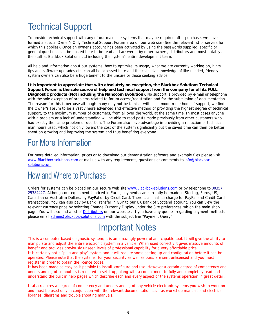## **Technical Support**

To provide technical support with any of our main line systems that may be required after purchase, we have formed a special Owner's Only Technical Support Forum area on our web site (See the relevant list of servers for which this applies). Once an owner's account has been activated by using the passwords supplied, specific or general questions can be posted here to be read and answered by other owners, distributors and most notably all the staff at Blackbox Solutions Ltd including the system's entire development team.

All help and information about our systems, how to optimize its usage, what we are currently working on, hints, tips and software upgrades etc. can all be accessed here and the collective knowledge of like minded, friendly system owners can also be a huge benefit to the unsure or those seeking advice.

**It is important to appreciate that with absolutely no exception, the Blackbox Solutions Technical Support Forum is the sole source of help and technical support from the company for all its FULL Diagnostic products (Not including the Nanocom Evolution).** No support is provided by e-mail or telephone with the sole exception of problems related to forum access/registration and for the submission of documentation. The reason for this is because although many may not be familiar with such modern methods of support, we find the Owner's Forum to be a vastly more advanced and effective method of providing the highest degree of technical support, to the maximum number of customers, from all over the world, at the same time. In most cases anyone with a problem or a lack of understanding will be able to read posts made previously from other customers who had exactly the same problem or question. The Forum also have advantage in providing a reduction of technical man hours used, which not only lowers the cost of the system significantly but the saved time can then be better spent on growing and improving the system and thus benefiting everyone.

#### **For More Information**

For more detailed information, prices or to download our demonstration software and example files please visit www.Blackbox-solutions.com or mail us with any requirements, questions or comments to info@blackboxsolutions.com.

#### How and Where to Purchase

Orders for systems can be placed on our secure web site www.Blackbox-solutions.com or by telephone to 00357 25384427. Although our equipment is priced in Euros, payments can currently be made in Sterling, Euros, US, Canadian or Australian Dollars, by PayPal or by Credit Card. There is a small surcharge for PayPal and Credit Card transactions. You can also pay by Bank Transfer in GBP to our UK Bank of Scotland account. You can view the relevant currency price by selecting Change Currently Display under the Site preferences tab on the main shop page. You will also find a list of Distributors on our website . If you have any queries regarding payment methods please email admin@blackbox-solutions.com with the subject line "Payment Query"

#### **Important Notes**

This is a computer based diagnostic system; it is an amazingly powerful and capable tool. It will give the ability to manipulate and adjust the entire electronic system in a vehicle. When used correctly it gives massive amounts of benefit and provides previously unseen levels of professional capability for a very affordable price. It is certainly not a "plug and play" system and it will require some setting up and configuration before it can be operated. Please note that the systems, for your security as well as ours, are sent unlicensed and you must

register in order to obtain the licence codes. It has been made as easy as it possibly to install, configure and use. However a certain degree of competency and understanding of computers is required to set it up, along with a commitment to fully and completely read and understand the built in help pages which describe each and every aspect of the systems operation in great detail.

It also requires a degree of competency and understanding of any vehicle electronic systems you wish to work on and must be used only in conjunction with the relevant documentation such as workshop manuals and electrical libraries, diagrams and trouble shooting manuals.